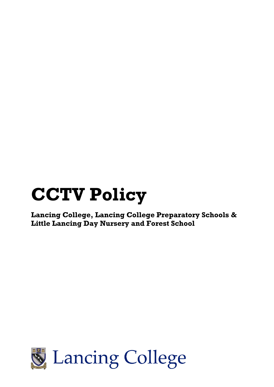# **CCTV Policy**

**Lancing College, Lancing College Preparatory Schools & Little Lancing Day Nursery and Forest School**

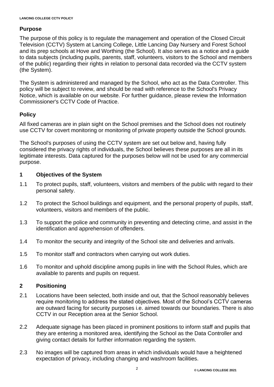# **Purpose**

The purpose of this policy is to regulate the management and operation of the Closed Circuit Television (CCTV) System at Lancing College, Little Lancing Day Nursery and Forest School and its prep schools at Hove and Worthing (the School). It also serves as a notice and a guide to data subjects (including pupils, parents, staff, volunteers, visitors to the School and members of the public) regarding their rights in relation to personal data recorded via the CCTV system (the System).

The System is administered and managed by the School, who act as the Data Controller. This policy will be subject to review, and should be read with reference to the School's Privacy Notice, which is available on our website. For further guidance, please review the Information Commissioner's CCTV Code of Practice.

# **Policy**

All fixed cameras are in plain sight on the School premises and the School does not routinely use CCTV for covert monitoring or monitoring of private property outside the School grounds.

The School's purposes of using the CCTV system are set out below and, having fully considered the privacy rights of individuals, the School believes these purposes are all in its legitimate interests. Data captured for the purposes below will not be used for any commercial purpose.

# **1 Objectives of the System**

- 1.1 To protect pupils, staff, volunteers, visitors and members of the public with regard to their personal safety.
- 1.2 To protect the School buildings and equipment, and the personal property of pupils, staff, volunteers, visitors and members of the public.
- 1.3 To support the police and community in preventing and detecting crime, and assist in the identification and apprehension of offenders.
- 1.4 To monitor the security and integrity of the School site and deliveries and arrivals.
- 1.5 To monitor staff and contractors when carrying out work duties.
- 1.6 To monitor and uphold discipline among pupils in line with the School Rules, which are available to parents and pupils on request.

## **2 Positioning**

- 2.1 Locations have been selected, both inside and out, that the School reasonably believes require monitoring to address the stated objectives. Most of the School's CCTV cameras are outward facing for security purposes i.e. aimed towards our boundaries. There is also CCTV in our Reception area at the Senior School.
- 2.2 Adequate signage has been placed in prominent positions to inform staff and pupils that they are entering a monitored area, identifying the School as the Data Controller and giving contact details for further information regarding the system.
- 2.3 No images will be captured from areas in which individuals would have a heightened expectation of privacy, including changing and washroom facilities.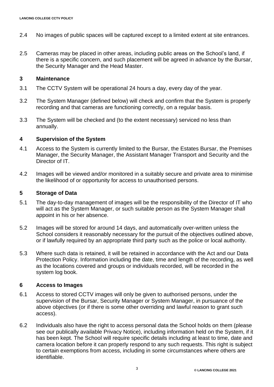- 2.4 No images of public spaces will be captured except to a limited extent at site entrances.
- 2.5 Cameras may be placed in other areas, including public areas on the School's land, if there is a specific concern, and such placement will be agreed in advance by the Bursar, the Security Manager and the Head Master.

### **3 Maintenance**

- 3.1 The CCTV System will be operational 24 hours a day, every day of the year.
- 3.2 The System Manager (defined below) will check and confirm that the System is properly recording and that cameras are functioning correctly, on a regular basis.
- 3.3 The System will be checked and (to the extent necessary) serviced no less than annually.

## **4 Supervision of the System**

- 4.1 Access to the System is currently limited to the Bursar, the Estates Bursar, the Premises Manager, the Security Manager, the Assistant Manager Transport and Security and the Director of IT.
- 4.2 Images will be viewed and/or monitored in a suitably secure and private area to minimise the likelihood of or opportunity for access to unauthorised persons.

## **5 Storage of Data**

- 5.1 The day-to-day management of images will be the responsibility of the Director of IT who will act as the System Manager, or such suitable person as the System Manager shall appoint in his or her absence.
- 5.2 Images will be stored for around 14 days, and automatically over-written unless the School considers it reasonably necessary for the pursuit of the objectives outlined above, or if lawfully required by an appropriate third party such as the police or local authority.
- 5.3 Where such data is retained, it will be retained in accordance with the Act and our Data Protection Policy. Information including the date, time and length of the recording, as well as the locations covered and groups or individuals recorded, will be recorded in the system log book.

## **6 Access to Images**

- 6.1 Access to stored CCTV images will only be given to authorised persons, under the supervision of the Bursar, Security Manager or System Manager, in pursuance of the above objectives (or if there is some other overriding and lawful reason to grant such access).
- 6.2 Individuals also have the right to access personal data the School holds on them (please see our publically available Privacy Notice), including information held on the System, if it has been kept. The School will require specific details including at least to time, date and camera location before it can properly respond to any such requests. This right is subject to certain exemptions from access, including in some circumstances where others are identifiable.